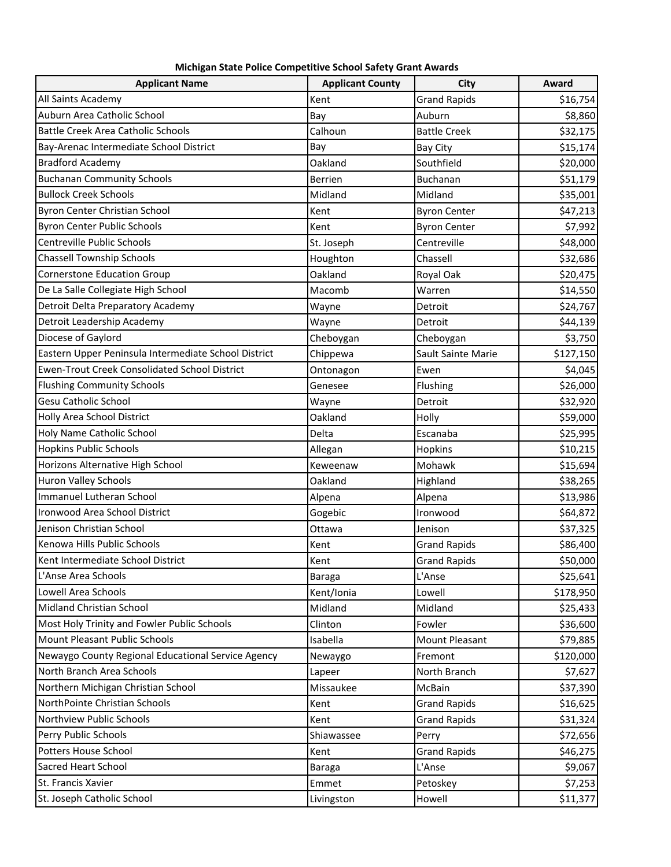| <b>Applicant Name</b>                                | <b>Applicant County</b> | City                | Award     |
|------------------------------------------------------|-------------------------|---------------------|-----------|
| All Saints Academy                                   | Kent                    | <b>Grand Rapids</b> | \$16,754  |
| Auburn Area Catholic School                          | Bay                     | Auburn              | \$8,860   |
| <b>Battle Creek Area Catholic Schools</b>            | Calhoun                 | <b>Battle Creek</b> | \$32,175  |
| Bay-Arenac Intermediate School District              | Bay                     | <b>Bay City</b>     | \$15,174  |
| <b>Bradford Academy</b>                              | Oakland                 | Southfield          | \$20,000  |
| <b>Buchanan Community Schools</b>                    | <b>Berrien</b>          | Buchanan            | \$51,179  |
| <b>Bullock Creek Schools</b>                         | Midland                 | Midland             | \$35,001  |
| Byron Center Christian School                        | Kent                    | <b>Byron Center</b> | \$47,213  |
| <b>Byron Center Public Schools</b>                   | Kent                    | <b>Byron Center</b> | \$7,992   |
| Centreville Public Schools                           | St. Joseph              | Centreville         | \$48,000  |
| <b>Chassell Township Schools</b>                     | Houghton                | Chassell            | \$32,686  |
| <b>Cornerstone Education Group</b>                   | Oakland                 | Royal Oak           | \$20,475  |
| De La Salle Collegiate High School                   | Macomb                  | Warren              | \$14,550  |
| Detroit Delta Preparatory Academy                    | Wayne                   | Detroit             | \$24,767  |
| Detroit Leadership Academy                           | Wayne                   | Detroit             | \$44,139  |
| Diocese of Gaylord                                   | Cheboygan               | Cheboygan           | \$3,750   |
| Eastern Upper Peninsula Intermediate School District | Chippewa                | Sault Sainte Marie  | \$127,150 |
| <b>Ewen-Trout Creek Consolidated School District</b> | Ontonagon               | Ewen                | \$4,045   |
| <b>Flushing Community Schools</b>                    | Genesee                 | Flushing            | \$26,000  |
| <b>Gesu Catholic School</b>                          | Wayne                   | Detroit             | \$32,920  |
| Holly Area School District                           | Oakland                 | Holly               | \$59,000  |
| Holy Name Catholic School                            | Delta                   | Escanaba            | \$25,995  |
| <b>Hopkins Public Schools</b>                        | Allegan                 | Hopkins             | \$10,215  |
| Horizons Alternative High School                     | Keweenaw                | Mohawk              | \$15,694  |
| Huron Valley Schools                                 | Oakland                 | Highland            | \$38,265  |
| <b>Immanuel Lutheran School</b>                      | Alpena                  | Alpena              | \$13,986  |
| Ironwood Area School District                        | Gogebic                 | Ironwood            | \$64,872  |
| Jenison Christian School                             | Ottawa                  | Jenison             | \$37,325  |
| Kenowa Hills Public Schools                          | Kent                    | <b>Grand Rapids</b> | \$86,400  |
| Kent Intermediate School District                    | Kent                    | <b>Grand Rapids</b> | \$50,000  |
| L'Anse Area Schools                                  | Baraga                  | L'Anse              | \$25,641  |
| Lowell Area Schools                                  | Kent/Ionia              | Lowell              | \$178,950 |
| Midland Christian School                             | Midland                 | Midland             | \$25,433  |
| Most Holy Trinity and Fowler Public Schools          | Clinton                 | Fowler              | \$36,600  |
| Mount Pleasant Public Schools                        | Isabella                | Mount Pleasant      | \$79,885  |
| Newaygo County Regional Educational Service Agency   | Newaygo                 | Fremont             | \$120,000 |
| North Branch Area Schools                            | Lapeer                  | North Branch        | \$7,627   |
| Northern Michigan Christian School                   | Missaukee               | McBain              | \$37,390  |
| NorthPointe Christian Schools                        | Kent                    | <b>Grand Rapids</b> | \$16,625  |
| Northview Public Schools                             | Kent                    | <b>Grand Rapids</b> | \$31,324  |
| Perry Public Schools                                 | Shiawassee              | Perry               | \$72,656  |
| Potters House School                                 | Kent                    | <b>Grand Rapids</b> | \$46,275  |
| <b>Sacred Heart School</b>                           | <b>Baraga</b>           | L'Anse              | \$9,067   |
| St. Francis Xavier                                   | Emmet                   | Petoskey            | \$7,253   |
| St. Joseph Catholic School                           | Livingston              | Howell              | \$11,377  |